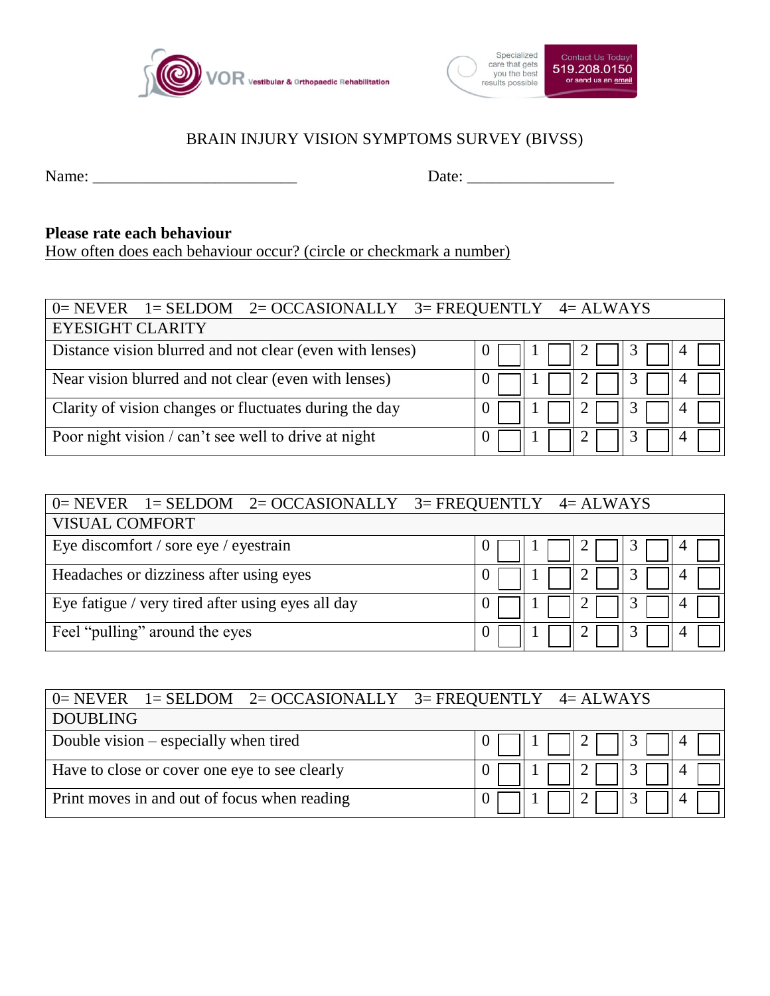



## BRAIN INJURY VISION SYMPTOMS SURVEY (BIVSS)

Name: \_\_\_\_\_\_\_\_\_\_\_\_\_\_\_\_\_\_\_\_\_\_\_\_\_ Date: \_\_\_\_\_\_\_\_\_\_\_\_\_\_\_\_\_\_

## **Please rate each behaviour**

How often does each behaviour occur? (circle or checkmark a number)

| $0=$ NEVER $1=$ SELDOM $2=$ OCCASIONALLY $3=$ FREQUENTLY $4=$ ALWAYS |  |  |  |  |
|----------------------------------------------------------------------|--|--|--|--|
| <b>EYESIGHT CLARITY</b>                                              |  |  |  |  |
| Distance vision blurred and not clear (even with lenses)             |  |  |  |  |
| Near vision blurred and not clear (even with lenses)                 |  |  |  |  |
| Clarity of vision changes or fluctuates during the day               |  |  |  |  |
| Poor night vision / can't see well to drive at night                 |  |  |  |  |

| $0=$ NEVER $1=$ SELDOM $2=$ OCCASIONALLY $3=$ FREQUENTLY $4=$ ALWAYS |   |  |  |
|----------------------------------------------------------------------|---|--|--|
| <b>VISUAL COMFORT</b>                                                |   |  |  |
| Eye discomfort / sore eye / eyestrain                                | ر |  |  |
| Headaches or dizziness after using eyes                              |   |  |  |
| Eye fatigue / very tired after using eyes all day                    |   |  |  |
| Feel "pulling" around the eyes                                       |   |  |  |

| $0=$ NEVER $1=$ SELDOM $2=$ OCCASIONALLY $3=$ FREQUENTLY $4=$ ALWAYS |  |
|----------------------------------------------------------------------|--|
| <b>DOUBLING</b>                                                      |  |
| Double vision – especially when tired                                |  |
| Have to close or cover one eye to see clearly                        |  |
| Print moves in and out of focus when reading                         |  |